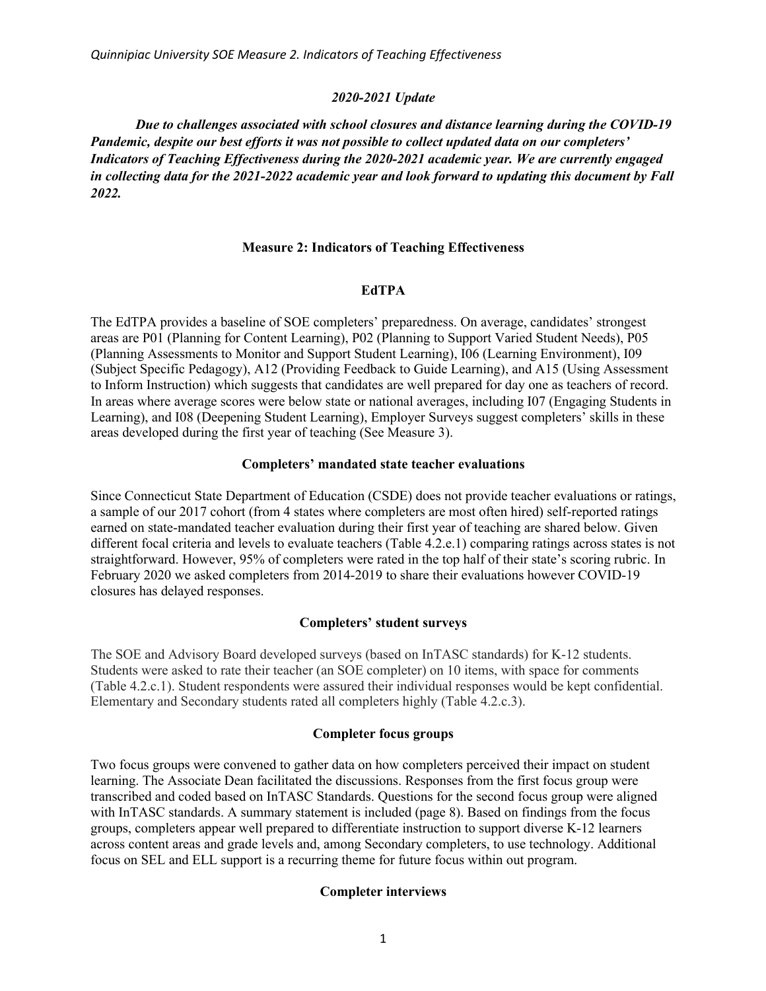### *2020-2021 Update*

*Due to challenges associated with school closures and distance learning during the COVID-19 Pandemic, despite our best efforts it was not possible to collect updated data on our completers' Indicators of Teaching Effectiveness during the 2020-2021 academic year. We are currently engaged in collecting data for the 2021-2022 academic year and look forward to updating this document by Fall 2022.*

### **Measure 2: Indicators of Teaching Effectiveness**

## **EdTPA**

The EdTPA provides a baseline of SOE completers' preparedness. On average, candidates' strongest areas are P01 (Planning for Content Learning), P02 (Planning to Support Varied Student Needs), P05 (Planning Assessments to Monitor and Support Student Learning), I06 (Learning Environment), I09 (Subject Specific Pedagogy), A12 (Providing Feedback to Guide Learning), and A15 (Using Assessment to Inform Instruction) which suggests that candidates are well prepared for day one as teachers of record. In areas where average scores were below state or national averages, including I07 (Engaging Students in Learning), and I08 (Deepening Student Learning), Employer Surveys suggest completers' skills in these areas developed during the first year of teaching (See Measure 3).

### **Completers' mandated state teacher evaluations**

Since Connecticut State Department of Education (CSDE) does not provide teacher evaluations or ratings, a sample of our 2017 cohort (from 4 states where completers are most often hired) self-reported ratings earned on state-mandated teacher evaluation during their first year of teaching are shared below. Given different focal criteria and levels to evaluate teachers (Table 4.2.e.1) comparing ratings across states is not straightforward. However, 95% of completers were rated in the top half of their state's scoring rubric. In February 2020 we asked completers from 2014-2019 to share their evaluations however COVID-19 closures has delayed responses.

## **Completers' student surveys**

The SOE and Advisory Board developed surveys (based on InTASC standards) for K-12 students. Students were asked to rate their teacher (an SOE completer) on 10 items, with space for comments (Table 4.2.c.1). Student respondents were assured their individual responses would be kept confidential. Elementary and Secondary students rated all completers highly (Table 4.2.c.3).

## **Completer focus groups**

Two focus groups were convened to gather data on how completers perceived their impact on student learning. The Associate Dean facilitated the discussions. Responses from the first focus group were transcribed and coded based on InTASC Standards. Questions for the second focus group were aligned with InTASC standards. A summary statement is included (page 8). Based on findings from the focus groups, completers appear well prepared to differentiate instruction to support diverse K-12 learners across content areas and grade levels and, among Secondary completers, to use technology. Additional focus on SEL and ELL support is a recurring theme for future focus within out program.

### **Completer interviews**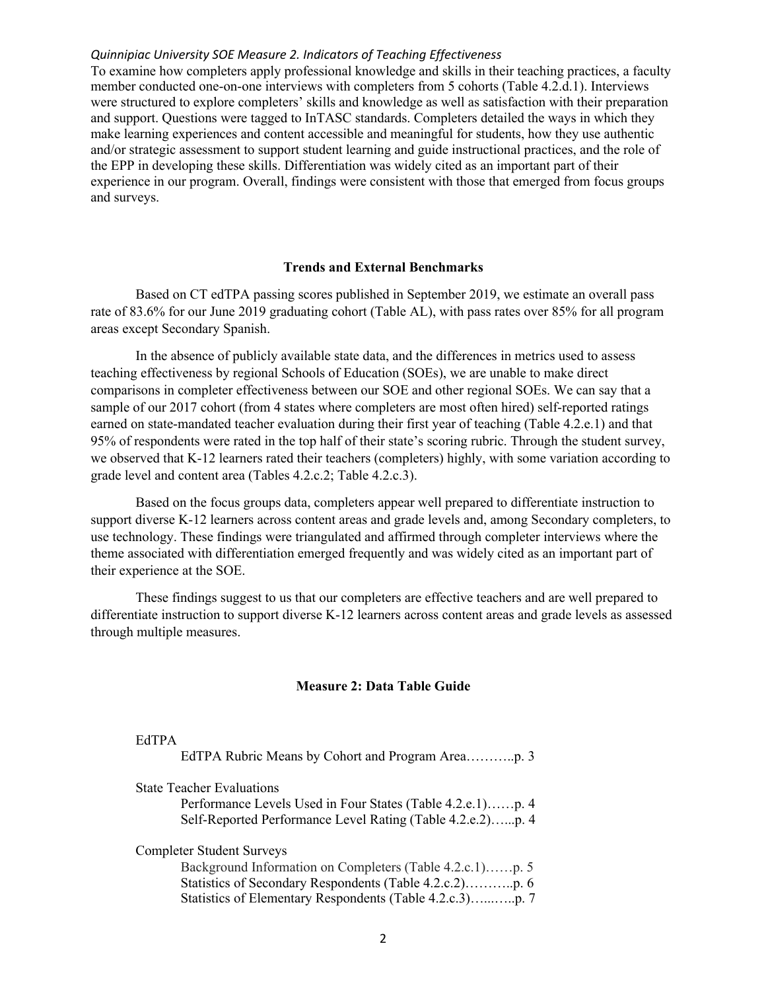To examine how completers apply professional knowledge and skills in their teaching practices, a faculty member conducted one-on-one interviews with completers from 5 cohorts (Table 4.2.d.1). Interviews were structured to explore completers' skills and knowledge as well as satisfaction with their preparation and support. Questions were tagged to InTASC standards. Completers detailed the ways in which they make learning experiences and content accessible and meaningful for students, how they use authentic and/or strategic assessment to support student learning and guide instructional practices, and the role of the EPP in developing these skills. Differentiation was widely cited as an important part of their experience in our program. Overall, findings were consistent with those that emerged from focus groups and surveys.

## **Trends and External Benchmarks**

Based on CT edTPA passing scores published in September 2019, we estimate an overall pass rate of 83.6% for our June 2019 graduating cohort (Table AL), with pass rates over 85% for all program areas except Secondary Spanish.

In the absence of publicly available state data, and the differences in metrics used to assess teaching effectiveness by regional Schools of Education (SOEs), we are unable to make direct comparisons in completer effectiveness between our SOE and other regional SOEs. We can say that a sample of our 2017 cohort (from 4 states where completers are most often hired) self-reported ratings earned on state-mandated teacher evaluation during their first year of teaching (Table 4.2.e.1) and that 95% of respondents were rated in the top half of their state's scoring rubric. Through the student survey, we observed that K-12 learners rated their teachers (completers) highly, with some variation according to grade level and content area (Tables 4.2.c.2; Table 4.2.c.3).

Based on the focus groups data, completers appear well prepared to differentiate instruction to support diverse K-12 learners across content areas and grade levels and, among Secondary completers, to use technology. These findings were triangulated and affirmed through completer interviews where the theme associated with differentiation emerged frequently and was widely cited as an important part of their experience at the SOE.

These findings suggest to us that our completers are effective teachers and are well prepared to differentiate instruction to support diverse K-12 learners across content areas and grade levels as assessed through multiple measures.

#### **Measure 2: Data Table Guide**

#### [EdTPA](#page--1-0)

| <b>State Teacher Evaluations</b>                           |
|------------------------------------------------------------|
| Performance Levels Used in Four States (Table 4.2.e.1)p. 4 |
| Self-Reported Performance Level Rating (Table 4.2.e.2)p. 4 |
| <b>Completer Student Surveys</b>                           |

Background Information on Completers (Table 4.2.c.1)......p. 5 [Statistics of Secondary Respondents \(Table 4.2.c.2\) p. 6](#page-6-0) ……….. Statistics of Elementary Respondents (Table 4.2.c.3).............p. 7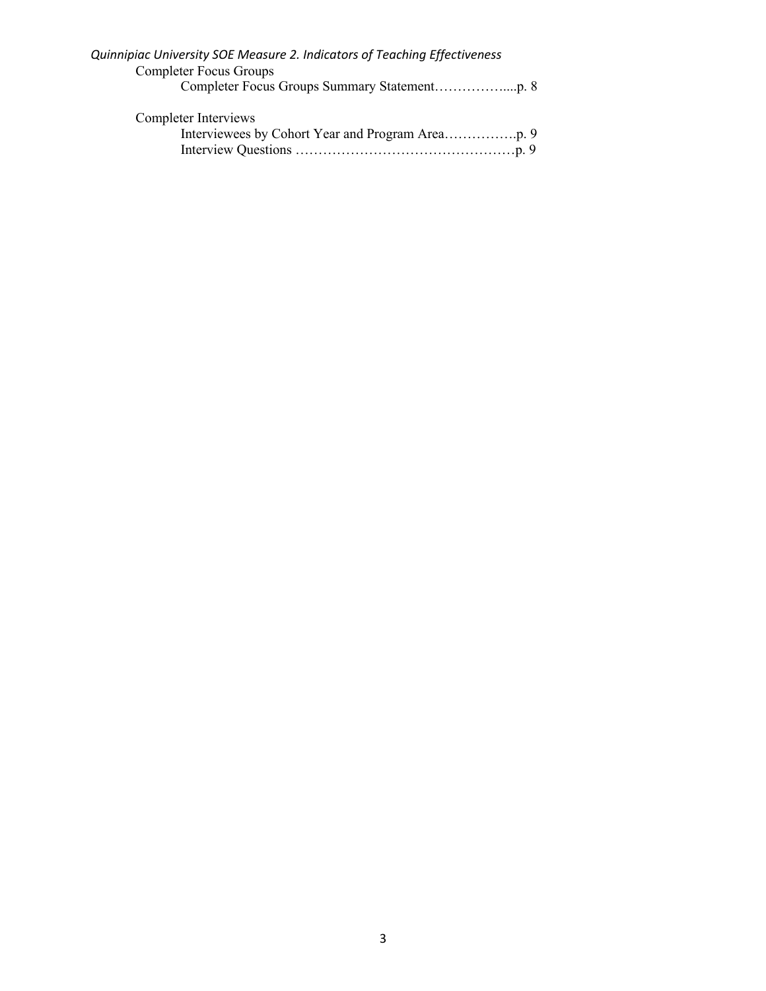| Quinnipiac University SOE Measure 2. Indicators of Teaching Effectiveness |  |
|---------------------------------------------------------------------------|--|
| <b>Completer Focus Groups</b>                                             |  |
|                                                                           |  |
| Completer Interviews                                                      |  |
|                                                                           |  |
|                                                                           |  |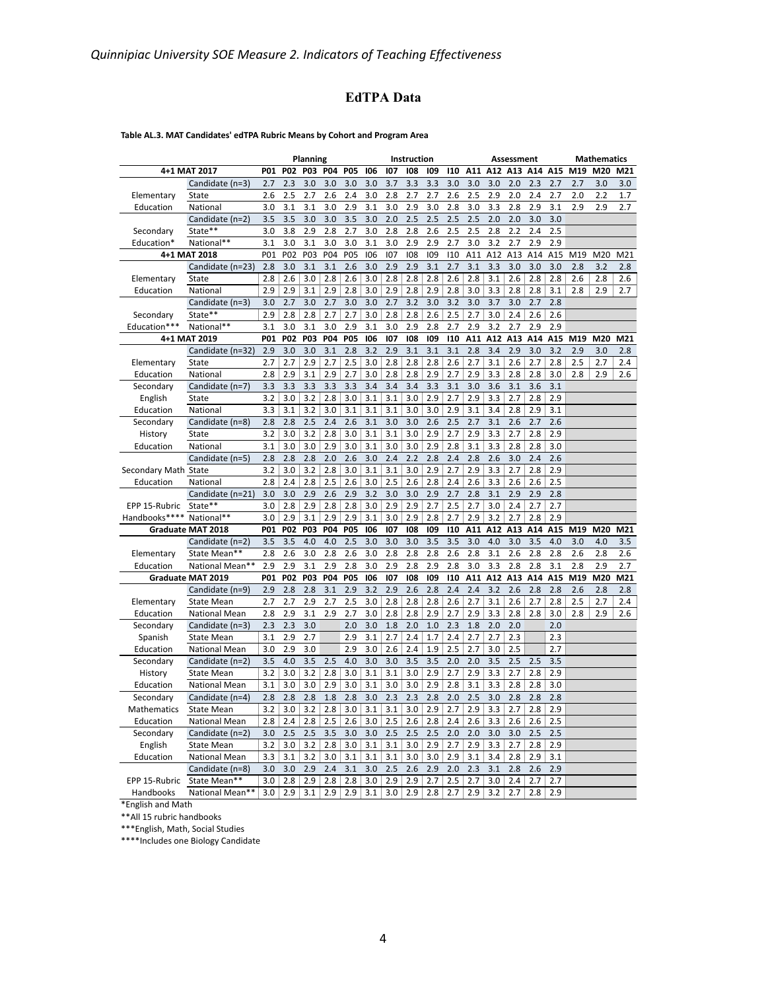# **EdTPA Data**

#### **Table AL.3. MAT Candidates' edTPA Rubric Means by Cohort and Program Area**

|                      |                                         |            |                  | Planning   |            |            |            |            | Instruction |            |            |            |            | Assessment |            |            |     | <b>Mathematics</b> |                 |
|----------------------|-----------------------------------------|------------|------------------|------------|------------|------------|------------|------------|-------------|------------|------------|------------|------------|------------|------------|------------|-----|--------------------|-----------------|
|                      | 4+1 MAT 2017                            | <b>P01</b> | <b>P02</b>       | P03        | <b>P04</b> | <b>P05</b> | 106        | 107        | 108         | 109        | 110        | A11        | A12        | A13        | A14        | A15        | M19 | M20                | M21             |
|                      | Candidate (n=3)                         | 2.7        | 2.3              | 3.0        | 3.0        | 3.0        | 3.0        | 3.7        | 3.3         | 3.3        | 3.0        | 3.0        | 3.0        | 2.0        | 2.3        | 2.7        | 2.7 | 3.0                | 3.0             |
| Elementary           | State                                   | 2.6        | 2.5              | 2.7        | 2.6        | 2.4        | 3.0        | 2.8        | 2.7         | 2.7        | 2.6        | 2.5        | 2.9        | 2.0        | 2.4        | 2.7        | 2.0 | 2.2                | 1.7             |
| Education            | National                                | 3.0        | 3.1              | 3.1        | 3.0        | 2.9        | 3.1        | 3.0        | 2.9         | 3.0        | 2.8        | 3.0        | 3.3        | 2.8        | 2.9        | 3.1        | 2.9 | 2.9                | 2.7             |
|                      | Candidate (n=2)                         | 3.5        | 3.5              | 3.0        | 3.0        | 3.5        | 3.0        | 2.0        | 2.5         | 2.5        | 2.5        | 2.5        | 2.0        | 2.0        | 3.0        | 3.0        |     |                    |                 |
| Secondary            | State**                                 | 3.0        | 3.8              | 2.9        | 2.8        | 2.7        | 3.0        | 2.8        | 2.8         | 2.6        | 2.5        | 2.5        | 2.8        | 2.2        | 2.4        | 2.5        |     |                    |                 |
| Education*           | National**                              | 3.1        | 3.0              | 3.1        | 3.0        | 3.0        | 3.1        | 3.0        | 2.9         | 2.9        | 2.7        | 3.0        | 3.2        | 2.7        | 2.9        | 2.9        |     |                    |                 |
|                      | 4+1 MAT 2018                            | P01        | P <sub>0</sub> 2 | P03        | <b>P04</b> | <b>P05</b> | 106        | 107        | 108         | 109        | 110        | A11        | A12        | A13        | A14        | A15        | M19 | M20                | M <sub>21</sub> |
|                      | Candidate (n=23)                        | 2.8        | 3.0              | 3.1        | 3.1        | 2.6        | 3.0        | 2.9        | 2.9         | 3.1        | 2.7        | 3.1        | 3.3        | 3.0        | 3.0        | 3.0        | 2.8 | 3.2                | 2.8             |
| Elementary           | State                                   | 2.8        | 2.6              | 3.0        | 2.8        | 2.6        | 3.0        | 2.8        | 2.8         | 2.8        | 2.6        | 2.8        | 3.1        | 2.6        | 2.8        | 2.8        | 2.6 | 2.8                | 2.6             |
| Education            | National                                | 2.9        | 2.9              | 3.1        | 2.9        | 2.8        | 3.0        | 2.9        | 2.8         | 2.9        | 2.8        | 3.0        | 3.3        | 2.8        | 2.8        | 3.1        | 2.8 | 2.9                | 2.7             |
|                      | Candidate (n=3)                         | 3.0        | 2.7              | 3.0        | 2.7        | 3.0        | 3.0        | 2.7        | 3.2         | 3.0        | 3.2        | 3.0        | 3.7        | 3.0        | 2.7        | 2.8        |     |                    |                 |
| Secondary            | State**                                 | 2.9        | 2.8              | 2.8        | 2.7        | 2.7        | 3.0        | 2.8        | 2.8         | 2.6        | 2.5        | 2.7        | 3.0        | 2.4        | 2.6        | 2.6        |     |                    |                 |
| Education***         | National**                              | 3.1        | 3.0              | 3.1        | 3.0        | 2.9        | 3.1        | 3.0        | 2.9         | 2.8        | 2.7        | 2.9        | 3.2        | 2.7        | 2.9        | 2.9        |     |                    |                 |
|                      | 4+1 MAT 2019                            | P01        | P02              | P03        | P04        | <b>P05</b> | 106        | 107        | 108         | 109        | 110        | A11        | A12        | A13        | A14        | A15        | M19 | M20                | M21             |
|                      | Candidate (n=32)                        | 2.9        | 3.0              | 3.0        | 3.1        | 2.8        | 3.2        | 2.9        | 3.1         | 3.1        | 3.1        | 2.8        | 3.4        | 2.9        | 3.0        | 3.2        | 2.9 | 3.0                | 2.8             |
| Elementary           | State                                   | 2.7        | 2.7              | 2.9        | 2.7        | 2.5        | 3.0        | 2.8        | 2.8         | 2.8        | 2.6        | 2.7        | 3.1        | 2.6        | 2.7        | 2.8        | 2.5 | 2.7                | 2.4             |
| Education            | National                                | 2.8        | 2.9              | 3.1        | 2.9        | 2.7        | 3.0        | 2.8        | 2.8         | 2.9        | 2.7        | 2.9        | 3.3        | 2.8        | 2.8        | 3.0        | 2.8 | 2.9                | 2.6             |
| Secondary            | Candidate (n=7)                         | 3.3        | 3.3              | 3.3        | 3.3        | 3.3        | 3.4        | 3.4        | 3.4         | 3.3        | 3.1        | 3.0        | 3.6        | 3.1        | 3.6        | 3.1        |     |                    |                 |
| English              | State                                   | 3.2        | 3.0              | 3.2        | 2.8        | 3.0        | 3.1        | 3.1        | 3.0         | 2.9        | 2.7        | 2.9        | 3.3        | 2.7        | 2.8        | 2.9        |     |                    |                 |
| Education            | National                                | 3.3        | 3.1              | 3.2        | 3.0        | 3.1        | 3.1        | 3.1        | 3.0         | 3.0        | 2.9        | 3.1        | 3.4        | 2.8        | 2.9        | 3.1        |     |                    |                 |
| Secondary            | Candidate (n=8)                         | 2.8        | 2.8              | 2.5        | 2.4        | 2.6        | 3.1        | 3.0        | 3.0         | 2.6        | 2.5        | 2.7        | 3.1        | 2.6        | 2.7        | 2.6        |     |                    |                 |
| History              | State                                   | 3.2        | 3.0              | 3.2        | 2.8        | 3.0        | 3.1        | 3.1        | 3.0         | 2.9        | 2.7        | 2.9        | 3.3        | 2.7        | 2.8        | 2.9        |     |                    |                 |
| Education            | National                                | 3.1        | 3.0              | 3.0        | 2.9        | 3.0        | 3.1        | 3.0        | 3.0         | 2.9        | 2.8        | 3.1        | 3.3        | 2.8        | 2.8        | 3.0        |     |                    |                 |
|                      | Candidate (n=5)                         | 2.8        | 2.8              | 2.8        | 2.0        | 2.6        | 3.0        | 2.4        | 2.2         | 2.8        | 2.4        | 2.8        | 2.6        | 3.0        | 2.4        | 2.6        |     |                    |                 |
| Secondary Math State |                                         | 3.2        | 3.0              | 3.2        | 2.8        | 3.0        | 3.1        | 3.1        | 3.0         | 2.9        | 2.7        | 2.9        | 3.3        | 2.7        | 2.8        | 2.9        |     |                    |                 |
| Education            | National                                | 2.8        | 2.4              | 2.8        | 2.5        | 2.6        | 3.0        | 2.5        | 2.6         | 2.8        | 2.4        | 2.6        | 3.3        | 2.6        | 2.6        | 2.5        |     |                    |                 |
|                      | Candidate (n=21)                        | 3.0        | 3.0              | 2.9        | 2.6        | 2.9        | 3.2        | 3.0        | 3.0         | 2.9        | 2.7        | 2.8        | 3.1        | 2.9        | 2.9        | 2.8        |     |                    |                 |
| EPP 15-Rubric        | State**                                 | 3.0        | 2.8              | 2.9        | 2.8        | 2.8        | 3.0        | 2.9        | 2.9         | 2.7        | 2.5        | 2.7        | 3.0        | 2.4        | 2.7        | 2.7        |     |                    |                 |
| Handbooks****        | National**                              | 3.0        | 2.9              | 3.1        | 2.9        | 2.9        | 3.1        | 3.0        | 2.9         | 2.8        | 2.7        | 2.9        | 3.2        | 2.7        | 2.8        | 2.9        |     |                    |                 |
|                      | <b>Graduate MAT 2018</b>                | P01        | <b>P02</b>       | P03        | P04        | <b>P05</b> | 106        | 107        | 108         | 109        | 110        | A11        | A12        | A13        | A14        | A15        | M19 | M20                | M21             |
|                      | Candidate (n=2)                         | 3.5        | 3.5              | 4.0        | 4.0        | 2.5        | 3.0        | 3.0        | 3.0         | 3.5        | 3.5        | 3.0        | 4.0        | 3.0        | 3.5        | 4.0        | 3.0 | 4.0                | 3.5             |
| Elementary           | State Mean**                            | 2.8        | 2.6              | 3.0        | 2.8        | 2.6        | 3.0        | 2.8        | 2.8         | 2.8        | 2.6        | 2.8        | 3.1        | 2.6        | 2.8        | 2.8        | 2.6 | 2.8                | 2.6             |
| Education            | National Mean**                         | 2.9        | 2.9              | 3.1        | 2.9        | 2.8        | 3.0        | 2.9        | 2.8         | 2.9        | 2.8        | 3.0        | 3.3        | 2.8        | 2.8        | 3.1        | 2.8 | 2.9                | 2.7             |
|                      | <b>Graduate MAT 2019</b>                | P01        | P02              | P03        | P04        | <b>P05</b> | 106        | 107        | 108         | 109        | 110        | A11        | A12        | A13        | A14        | A15        | M19 | M20                | M21             |
|                      | Candidate (n=9)                         | 2.9        | 2.8              | 2.8        | 3.1        | 2.9        | 3.2        | 2.9        | 2.6         | 2.8        | 2.4        | 2.4        | 3.2        | 2.6        | 2.8        | 2.8        | 2.6 | 2.8                | 2.8             |
| Elementary           | <b>State Mean</b>                       | 2.7        | 2.7              | 2.9        | 2.7        | 2.5        | 3.0        | 2.8        | 2.8         | 2.8        | 2.6        | 2.7        | 3.1        | 2.6        | 2.7        | 2.8        | 2.5 | 2.7                | 2.4             |
| Education            | <b>National Mean</b>                    | 2.8        | 2.9              | 3.1        | 2.9        | 2.7        | 3.0        | 2.8        | 2.8         | 2.9        | 2.7        | 2.9        | 3.3        | 2.8        | 2.8        | 3.0        | 2.8 | 2.9                | 2.6             |
| Secondary            | Candidate (n=3)                         | 2.3        | 2.3              | 3.0        |            | 2.0        | 3.0        | 1.8        | 2.0         | 1.0        | 2.3        | 1.8        | 2.0        | 2.0        |            | 2.0        |     |                    |                 |
| Spanish              | <b>State Mean</b>                       | 3.1        | 2.9              | 2.7        |            | 2.9        | 3.1        | 2.7        | 2.4         | 1.7        | 2.4        | 2.7        | 2.7        | 2.3        |            | 2.3        |     |                    |                 |
| Education            | <b>National Mean</b>                    | 3.0        | 2.9              | 3.0        |            | 2.9        | 3.0        | 2.6        | 2.4         | 1.9        | 2.5        | 2.7        | 3.0        | 2.5        |            | 2.7        |     |                    |                 |
| Secondary            | Candidate (n=2)                         | 3.5        | 4.0              | 3.5        | 2.5        | 4.0        | 3.0        | 3.0        | 3.5         | 3.5        | 2.0        | 2.0        | 3.5        | 2.5        | 2.5        | 3.5        |     |                    |                 |
| History              | <b>State Mean</b>                       | 3.2<br>3.1 | 3.0<br>3.0       | 3.2<br>3.0 | 2.8<br>2.9 | 3.0<br>3.0 | 3.1<br>3.1 | 3.1<br>3.0 | 3.0<br>3.0  | 2.9<br>2.9 | 2.7<br>2.8 | 2.9<br>3.1 | 3.3<br>3.3 | 2.7<br>2.8 | 2.8<br>2.8 | 2.9<br>3.0 |     |                    |                 |
| Education            | <b>National Mean</b>                    |            |                  |            |            |            |            |            |             |            |            |            |            |            |            |            |     |                    |                 |
| Secondary            | Candidate (n=4)                         | 2.8<br>3.2 | 2.8<br>3.0       | 2.8<br>3.2 | 1.8<br>2.8 | 2.8<br>3.0 | 3.0<br>3.1 | 2.3<br>3.1 | 2.3<br>3.0  | 2.8<br>2.9 | 2.0        | 2.5<br>2.9 | 3.0        | 2.8<br>2.7 | 2.8        | 2.8<br>2.9 |     |                    |                 |
| Mathematics          | <b>State Mean</b>                       |            |                  |            |            |            |            |            |             |            | 2.7        |            | 3.3        |            | 2.8        |            |     |                    |                 |
| Education            | <b>National Mean</b>                    | 2.8        | 2.4              | 2.8        | 2.5        | 2.6<br>3.0 | 3.0        | 2.5        | 2.6         | 2.8        | 2.4        | 2.6        | 3.3        | 2.6<br>3.0 | 2.6        | 2.5        |     |                    |                 |
| Secondary            | Candidate (n=2)                         | 3.0<br>3.2 | 2.5              | 2.5<br>3.2 | 3.5<br>2.8 |            | 3.0        | 2.5        | 2.5         | 2.5<br>2.9 | 2.0        | 2.0<br>2.9 | 3.0        | 2.7        | 2.5<br>2.8 | 2.5<br>2.9 |     |                    |                 |
| English              | <b>State Mean</b>                       |            | 3.0<br>3.1       | 3.2        | 3.0        | 3.0<br>3.1 | 3.1<br>3.1 | 3.1<br>3.1 | 3.0         |            | 2.7<br>2.9 | 3.1        | 3.3<br>3.4 | 2.8        | 2.9        | 3.1        |     |                    |                 |
| Education            | <b>National Mean</b><br>Candidate (n=8) | 3.3<br>3.0 | 3.0              | 2.9        | 2.4        | 3.1        | 3.0        | 2.5        | 3.0<br>2.6  | 3.0<br>2.9 | 2.0        | 2.3        | 3.1        | 2.8        | 2.6        | 2.9        |     |                    |                 |
| EPP 15-Rubric        | State Mean**                            | 3.0        | 2.8              | 2.9        | 2.8        | 2.8        | 3.0        | 2.9        | 2.9         | 2.7        | 2.5        | 2.7        | 3.0        | 2.4        | 2.7        | 2.7        |     |                    |                 |
| Handbooks            | National Mean**                         | 3.0        | 2.9              | 3.1        | 2.9        | 2.9        | 3.1        | 3.0        | 2.9         | 2.8        | 2.7        | 2.9        | 3.2        | 2.7        | 2.8        | 2.9        |     |                    |                 |
|                      |                                         |            |                  |            |            |            |            |            |             |            |            |            |            |            |            |            |     |                    |                 |

\*English and Math

\*\*All 15 rubric handbooks

\*\*\*English, Math, Social Studies

\*\*\*\*Includes one Biology Candidate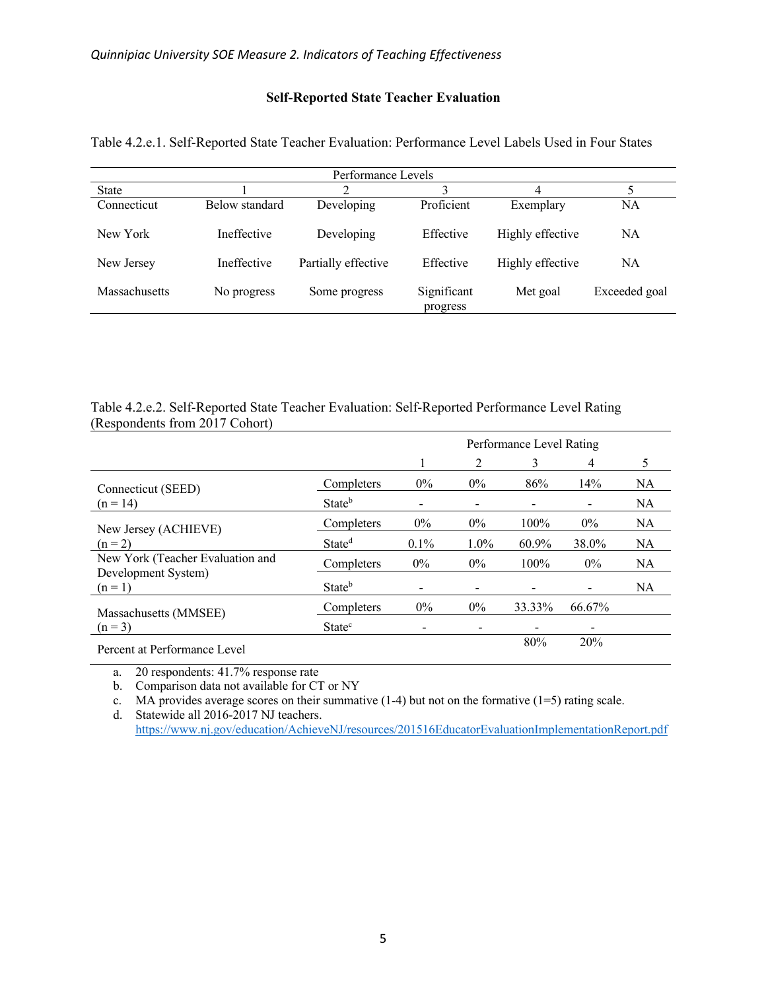# **Self-Reported State Teacher Evaluation**

|               |                | Performance Levels  |                         |                  |               |
|---------------|----------------|---------------------|-------------------------|------------------|---------------|
| <b>State</b>  |                |                     |                         | 4                |               |
| Connecticut   | Below standard | Developing          | Proficient              | Exemplary        | <b>NA</b>     |
| New York      | Ineffective    | Developing          | Effective               | Highly effective | <b>NA</b>     |
| New Jersey    | Ineffective    | Partially effective | Effective               | Highly effective | NA            |
| Massachusetts | No progress    | Some progress       | Significant<br>progress | Met goal         | Exceeded goal |

<span id="page-4-0"></span>Table 4.2.e.1. Self-Reported State Teacher Evaluation: Performance Level Labels Used in Four States

Table 4.2.e.2. Self-Reported State Teacher Evaluation: Self-Reported Performance Level Rating (Respondents from 2017 Cohort)

|                                  | Performance Level Rating  |       |       |         |        |           |
|----------------------------------|---------------------------|-------|-------|---------|--------|-----------|
|                                  |                           |       | 2     | 3       | 4      | 5         |
| Connecticut (SEED)               | Completers                | $0\%$ | $0\%$ | 86%     | 14%    | NA        |
| $(n = 14)$                       | Stateb                    |       |       |         |        | <b>NA</b> |
| New Jersey (ACHIEVE)             | Completers                | $0\%$ | $0\%$ | 100%    | $0\%$  | <b>NA</b> |
| $(n = 2)$                        | State <sup>d</sup>        | 0.1%  | 1.0%  | 60.9%   | 38.0%  | <b>NA</b> |
| New York (Teacher Evaluation and | Completers                | $0\%$ | $0\%$ | $100\%$ | $0\%$  | <b>NA</b> |
| Development System)<br>$(n = 1)$ | State <sup>b</sup>        |       |       |         | -      | <b>NA</b> |
| Massachusetts (MMSEE)            | Completers                | $0\%$ | $0\%$ | 33.33%  | 66.67% |           |
| $(n = 3)$                        | <b>State</b> <sup>c</sup> |       |       |         |        |           |
| Percent at Performance Level     |                           |       |       | 80%     | 20%    |           |

a. 20 respondents: 41.7% response rate

b. Comparison data not available for CT or NY

c. MA provides average scores on their summative  $(1-4)$  but not on the formative  $(1=5)$  rating scale.

d. Statewide all 2016-2017 NJ teachers.

<https://www.nj.gov/education/AchieveNJ/resources/201516EducatorEvaluationImplementationReport.pdf>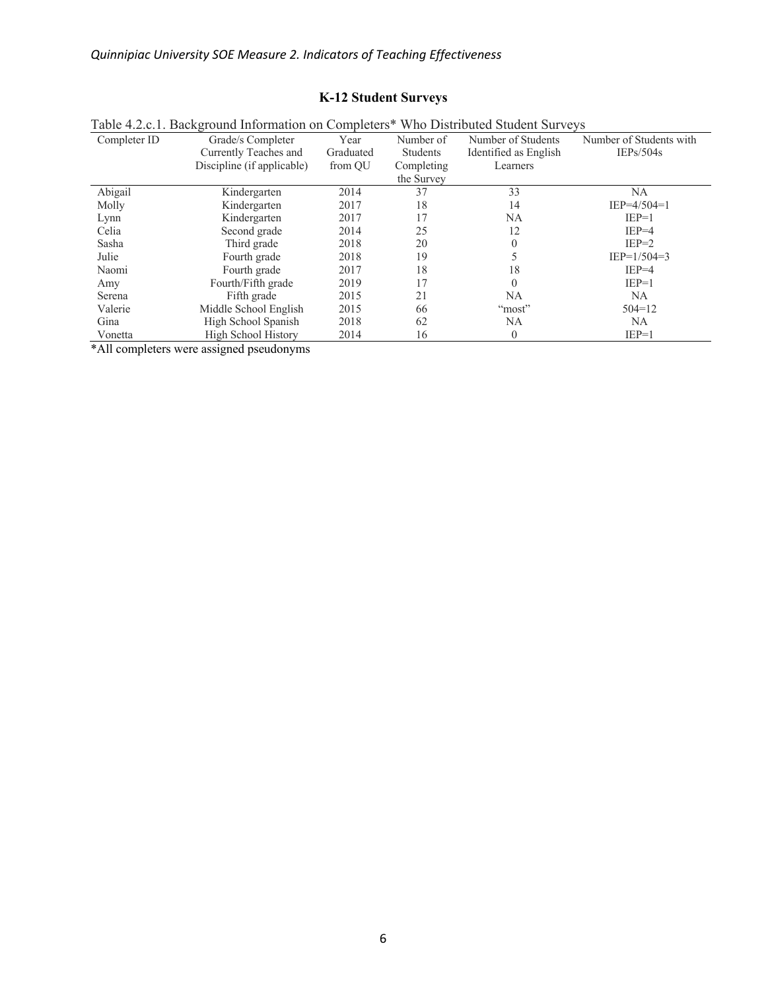# **K-12 Student Surveys**

|              | Table 4.2.c.1. Background Information on Completers* Who Distributed Student Surveys |           |                 |                       |                         |
|--------------|--------------------------------------------------------------------------------------|-----------|-----------------|-----------------------|-------------------------|
| Completer ID | Grade/s Completer                                                                    | Year      | Number of       | Number of Students    | Number of Students with |
|              | Currently Teaches and                                                                | Graduated | <b>Students</b> | Identified as English | IEPs/504s               |
|              | Discipline (if applicable)                                                           | from OU   | Completing      | Learners              |                         |
|              |                                                                                      |           | the Survey      |                       |                         |
| Abigail      | Kindergarten                                                                         | 2014      | 37              | 33                    | NA                      |
| Molly        | Kindergarten                                                                         | 2017      | 18              | 14                    | $IEP=4/504=1$           |
| Lynn         | Kindergarten                                                                         | 2017      | 17              | NA.                   | $IEP=1$                 |
| Celia        | Second grade                                                                         | 2014      | 25              | 12                    | $IEP=4$                 |
| Sasha        | Third grade                                                                          | 2018      | 20              |                       | $IEP=2$                 |
| Julie        | Fourth grade                                                                         | 2018      | 19              |                       | $IEP=1/504=3$           |
| Naomi        | Fourth grade                                                                         | 2017      | 18              | 18                    | $IEP=4$                 |
| Amy          | Fourth/Fifth grade                                                                   | 2019      | 17              | 0                     | $IEP=1$                 |
| Serena       | Fifth grade                                                                          | 2015      | 21              | NA.                   | NA                      |
| Valerie      | Middle School English                                                                | 2015      | 66              | "most"                | $504 = 12$              |
| Gina         | High School Spanish                                                                  | 2018      | 62              | NA                    | NA                      |
| Vonetta      | High School History                                                                  | 2014      | 16              | $\overline{0}$        | $IEP=1$                 |
|              |                                                                                      |           |                 |                       |                         |

<span id="page-5-0"></span>Table 4.2.c.1. Background Information on Completers\* Who Distributed Student Surveys

\*All completers were assigned pseudonyms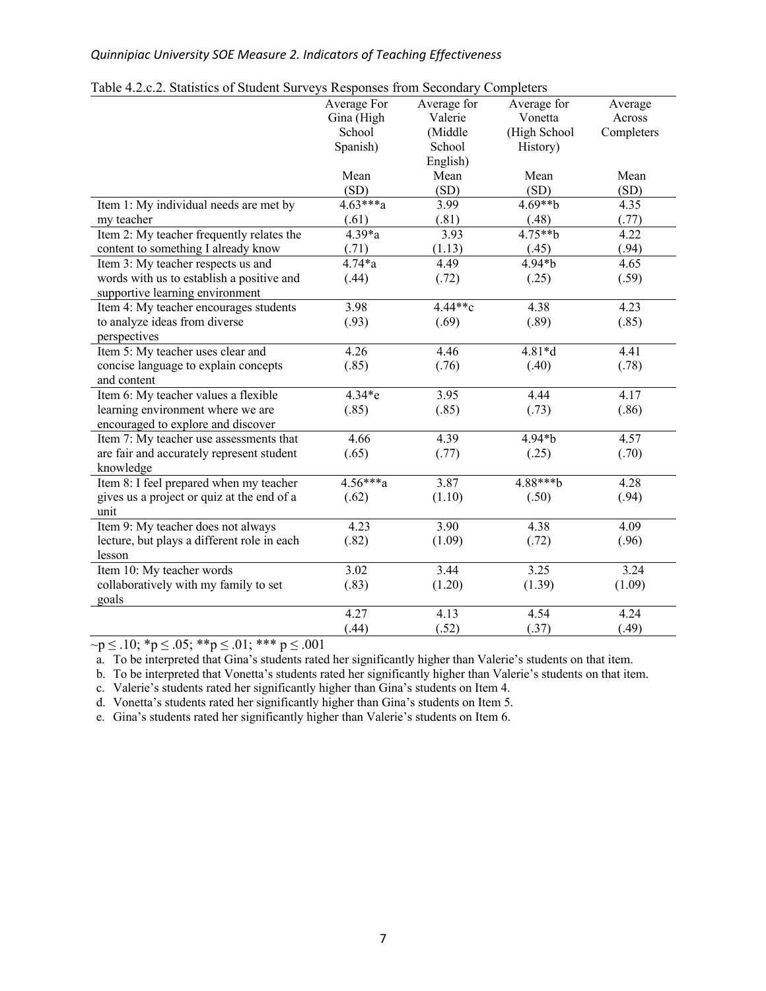| raole 1.2.0.2. Blanshes of Bradent Burveys Responses from Becondary Completers | Average For       | Average for | Average for       | Average    |
|--------------------------------------------------------------------------------|-------------------|-------------|-------------------|------------|
|                                                                                | Gina (High        | Valerie     | Vonetta           | Across     |
|                                                                                | School            | (Middle     | (High School      | Completers |
|                                                                                | Spanish)          | School      | History)          |            |
|                                                                                |                   | English)    |                   |            |
|                                                                                | Mean              | Mean        | Mean              | Mean       |
|                                                                                | (SD)              | (SD)        | (SD)              | (SD)       |
| Item 1: My individual needs are met by                                         | $4.63***a$        | 3.99        | $4.69**b$         | 4.35       |
| my teacher                                                                     | (.61)             | (.81)       | (.48)             | (.77)      |
| Item 2: My teacher frequently relates the                                      | $4.39*a$          | 3.93        | $4.75**b$         | 4.22       |
| content to something I already know                                            | (.71)             | (1.13)      | (.45)             | (.94)      |
| Item 3: My teacher respects us and                                             | $4.74 * a$        | 4.49        | $4.94 * b$        | 4.65       |
|                                                                                |                   |             |                   |            |
| words with us to establish a positive and<br>supportive learning environment   | (.44)             | (.72)       | (.25)             | (.59)      |
| Item 4: My teacher encourages students                                         | $\overline{3.98}$ | 4.44**c     | 4.38              | 4.23       |
|                                                                                | (.93)             |             | (.89)             |            |
| to analyze ideas from diverse                                                  |                   | (.69)       |                   | (.85)      |
| perspectives                                                                   |                   | 4.46        | $4.81*d$          |            |
| Item 5: My teacher uses clear and                                              | 4.26              |             |                   | 4.41       |
| concise language to explain concepts                                           | (.85)             | (.76)       | (.40)             | (.78)      |
| and content                                                                    |                   |             |                   |            |
| Item 6: My teacher values a flexible                                           | $4.34*$ e         | 3.95        | $\overline{4.44}$ | 4.17       |
| learning environment where we are                                              | (.85)             | (.85)       | (.73)             | (.86)      |
| encouraged to explore and discover                                             |                   |             |                   |            |
| Item 7: My teacher use assessments that                                        | 4.66              | 4.39        | 4.94*b            | 4.57       |
| are fair and accurately represent student                                      | (.65)             | (.77)       | (.25)             | (.70)      |
| knowledge                                                                      |                   |             |                   |            |
| Item 8: I feel prepared when my teacher                                        | $4.56***a$        | 3.87        | 4.88***b          | 4.28       |
| gives us a project or quiz at the end of a                                     | (.62)             | (1.10)      | (.50)             | (.94)      |
| unit                                                                           |                   |             |                   |            |
| Item 9: My teacher does not always                                             | 4.23              | 3.90        | 4.38              | 4.09       |
| lecture, but plays a different role in each                                    | (.82)             | (1.09)      | (.72)             | (.96)      |
| lesson                                                                         |                   |             |                   |            |
| Item 10: My teacher words                                                      | $\overline{3.02}$ | 3.44        | 3.25              | 3.24       |
| collaboratively with my family to set                                          | (.83)             | (1.20)      | (1.39)            | (1.09)     |
| goals                                                                          |                   |             |                   |            |
|                                                                                | 4.27              | 4.13        | 4.54              | 4.24       |
|                                                                                | (.44)             | (.52)       | (.37)             | (.49)      |

<span id="page-6-0"></span>

| Table 4.2.c.2. Statistics of Student Surveys Responses from Secondary Completers |  |  |  |  |
|----------------------------------------------------------------------------------|--|--|--|--|
|                                                                                  |  |  |  |  |

 $\nu$   $\sim$  p  $\le$  .10; \* p  $\le$  .05; \* \* p  $\le$  .01; \* \* \* p  $\le$  .001

a. To be interpreted that Gina's students rated her significantly higher than Valerie's students on that item.

b. To be interpreted that Vonetta's students rated her significantly higher than Valerie's students on that item.

c. Valerie's students rated her significantly higher than Gina's students on Item 4.

d. Vonetta's students rated her significantly higher than Gina's students on Item 5.

e. Gina's students rated her significantly higher than Valerie's students on Item 6.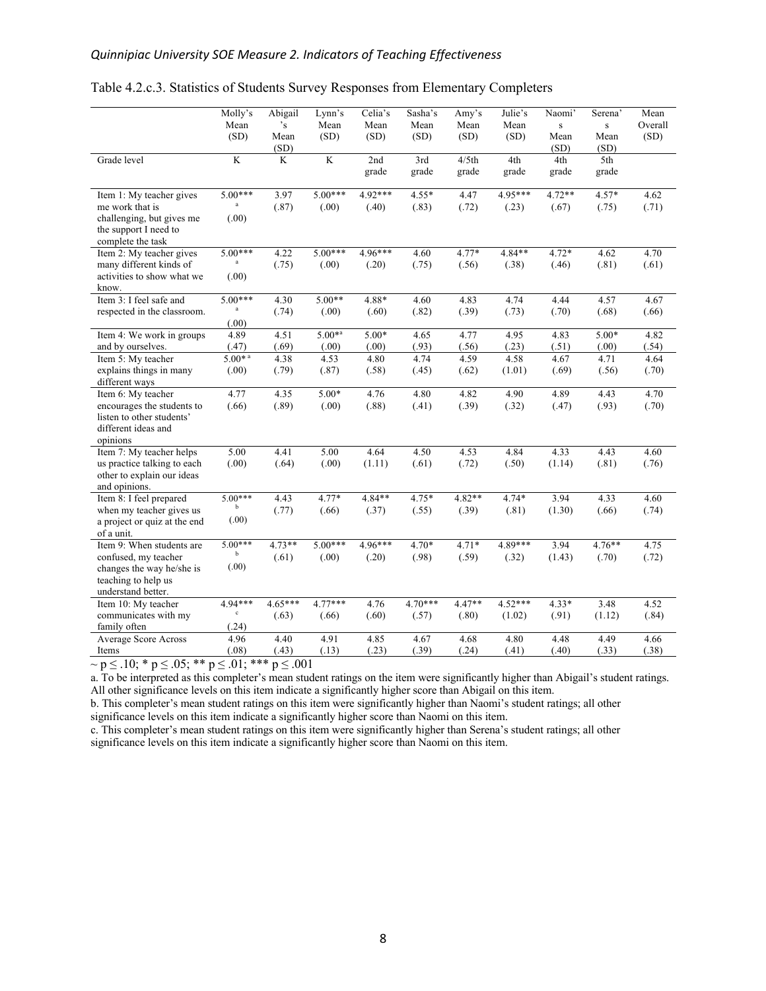|                                                                                                                             | Molly's<br>Mean<br>(SD)            | Abigail<br>$\cdot_{\rm s}$<br>Mean<br>(SD) | Lynn's<br>Mean<br>(SD) | Celia's<br>Mean<br>(SD) | Sasha's<br>Mean<br>(SD) | Amy's<br>Mean<br>(SD)     | Julie's<br>Mean<br>(SD) | Naomi'<br>$\mathbf S$<br>Mean<br>(SD) | Serena'<br>$\mathbf{s}$<br>Mean<br>(SD) | Mean<br>Overall<br>(SD) |
|-----------------------------------------------------------------------------------------------------------------------------|------------------------------------|--------------------------------------------|------------------------|-------------------------|-------------------------|---------------------------|-------------------------|---------------------------------------|-----------------------------------------|-------------------------|
| Grade level                                                                                                                 | $\overline{\mathbf{K}}$            | $\overline{\mathbf{K}}$                    | $\overline{K}$         | 2nd<br>grade            | 3rd<br>grade            | $\frac{4}{5}$ th<br>grade | 4th<br>grade            | 4th<br>grade                          | 5th<br>grade                            |                         |
| Item 1: My teacher gives<br>me work that is<br>challenging, but gives me<br>the support I need to<br>complete the task      | $5.00***$<br>a<br>(.00)            | 3.97<br>(.87)                              | $5.00***$<br>(.00)     | $4.92***$<br>(.40)      | $4.55*$<br>(.83)        | 4.47<br>(.72)             | 4.95***<br>(.23)        | $4.72**$<br>(.67)                     | $4.57*$<br>(.75)                        | 4.62<br>(.71)           |
| Item 2: My teacher gives<br>many different kinds of<br>activities to show what we<br>know.                                  | $5.00***$<br>(.00)                 | 4.22<br>(.75)                              | $5.00***$<br>(.00)     | $4.96***$<br>(.20)      | 4.60<br>(.75)           | $4.77*$<br>(.56)          | 4.84**<br>(.38)         | $4.72*$<br>(.46)                      | 4.62<br>(.81)                           | 4.70<br>(.61)           |
| Item 3: I feel safe and<br>respected in the classroom.                                                                      | $5.00***$<br>$\mathbf{a}$<br>(.00) | 4.30<br>(.74)                              | $5.00**$<br>(.00)      | 4.88*<br>(.60)          | 4.60<br>(.82)           | 4.83<br>(.39)             | 4.74<br>(.73)           | 4.44<br>(.70)                         | 4.57<br>(.68)                           | 4.67<br>(.66)           |
| Item 4: We work in groups                                                                                                   | 4.89                               | 4.51                                       | $5.00^{*a}$            | $5.00*$                 | 4.65                    | 4.77                      | 4.95                    | 4.83                                  | $5.00*$                                 | 4.82                    |
| and by ourselves.<br>Item 5: My teacher                                                                                     | (.47)<br>$5.00*$ <sup>a</sup>      | (.69)<br>4.38                              | (.00)<br>4.53          | (.00)<br>4.80           | (.93)<br>4.74           | (.56)<br>4.59             | (.23)<br>4.58           | (.51)<br>4.67                         | (.00)<br>4.71                           | (.54)<br>4.64           |
| explains things in many<br>different ways                                                                                   | (.00)                              | (.79)                                      | (.87)                  | (.58)                   | (.45)                   | (.62)                     | (1.01)                  | (.69)                                 | (.56)                                   | (.70)                   |
| Item 6: My teacher<br>encourages the students to<br>listen to other students'<br>different ideas and<br>opinions            | 4.77<br>(.66)                      | 4.35<br>(.89)                              | $5.00*$<br>(.00)       | 4.76<br>(.88)           | 4.80<br>(.41)           | 4.82<br>(.39)             | 4.90<br>(.32)           | 4.89<br>(.47)                         | 4.43<br>(.93)                           | 4.70<br>(.70)           |
| Item 7: My teacher helps<br>us practice talking to each<br>other to explain our ideas<br>and opinions.                      | 5.00<br>(.00)                      | 4.41<br>(.64)                              | 5.00<br>(.00)          | 4.64<br>(1.11)          | 4.50<br>(.61)           | 4.53<br>(.72)             | 4.84<br>(.50)           | 4.33<br>(1.14)                        | 4.43<br>(.81)                           | 4.60<br>(.76)           |
| Item 8: I feel prepared<br>when my teacher gives us<br>a project or quiz at the end<br>of a unit.                           | $5.00***$<br>b<br>(.00)            | 4.43<br>(.77)                              | 4.77*<br>(.66)         | $4.84**$<br>(.37)       | $4.75*$<br>(.55)        | $4.82**$<br>(.39)         | $4.74*$<br>(.81)        | 3.94<br>(1.30)                        | 4.33<br>(.66)                           | 4.60<br>(.74)           |
| Item 9: When students are<br>confused, my teacher<br>changes the way he/she is<br>teaching to help us<br>understand better. | $5.00***$<br>b<br>(.00)            | $4.73**$<br>(.61)                          | $5.00***$<br>(.00)     | 4.96***<br>(.20)        | 4.70*<br>(.98)          | $4.71*$<br>(.59)          | 4.89***<br>(.32)        | 3.94<br>(1.43)                        | $4.76**$<br>(.70)                       | 4.75<br>(.72)           |
| Item 10: My teacher<br>communicates with my<br>family often                                                                 | 4.94***<br>$\mathbf c$<br>(.24)    | $4.65***$<br>(.63)                         | $4.77***$<br>(.66)     | 4.76<br>(.60)           | $4.70***$<br>(.57)      | $4.47**$<br>(.80)         | $4.52***$<br>(1.02)     | $4.33*$<br>(.91)                      | 3.48<br>(1.12)                          | 4.52<br>(.84)           |
| <b>Average Score Across</b><br>Items                                                                                        | 4.96<br>(.08)                      | 4.40<br>(.43)                              | 4.91<br>(.13)          | 4.85<br>(.23)           | 4.67<br>(.39)           | 4.68<br>(.24)             | 4.80<br>(.41)           | 4.48<br>(.40)                         | 4.49<br>(.33)                           | 4.66<br>(.38)           |

### <span id="page-7-0"></span>Table 4.2.c.3. Statistics of Students Survey Responses from Elementary Completers

 $~\sim$  p ≤ .10; \* p ≤ .05; \*\* p ≤ .01; \*\*\* p ≤ .001

a. To be interpreted as this completer's mean student ratings on the item were significantly higher than Abigail's student ratings. All other significance levels on this item indicate a significantly higher score than Abigail on this item.

b. This completer's mean student ratings on this item were significantly higher than Naomi's student ratings; all other significance levels on this item indicate a significantly higher score than Naomi on this item.

c. This completer's mean student ratings on this item were significantly higher than Serena's student ratings; all other significance levels on this item indicate a significantly higher score than Naomi on this item.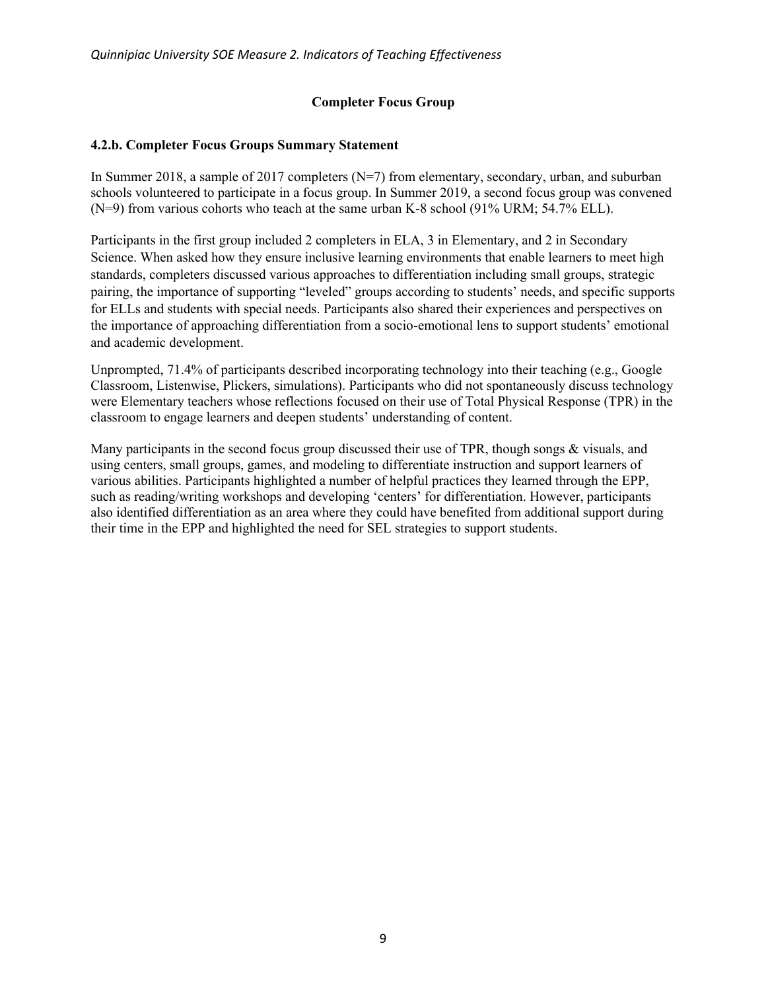# **Completer Focus Group**

# <span id="page-8-0"></span>**4.2.b. Completer Focus Groups Summary Statement**

In Summer 2018, a sample of 2017 completers (N=7) from elementary, secondary, urban, and suburban schools volunteered to participate in a focus group. In Summer 2019, a second focus group was convened (N=9) from various cohorts who teach at the same urban K-8 school (91% URM; 54.7% ELL).

Participants in the first group included 2 completers in ELA, 3 in Elementary, and 2 in Secondary Science. When asked how they ensure inclusive learning environments that enable learners to meet high standards, completers discussed various approaches to differentiation including small groups, strategic pairing, the importance of supporting "leveled" groups according to students' needs, and specific supports for ELLs and students with special needs. Participants also shared their experiences and perspectives on the importance of approaching differentiation from a socio-emotional lens to support students' emotional and academic development.

Unprompted, 71.4% of participants described incorporating technology into their teaching (e.g., Google Classroom, Listenwise, Plickers, simulations). Participants who did not spontaneously discuss technology were Elementary teachers whose reflections focused on their use of Total Physical Response (TPR) in the classroom to engage learners and deepen students' understanding of content.

Many participants in the second focus group discussed their use of TPR, though songs & visuals, and using centers, small groups, games, and modeling to differentiate instruction and support learners of various abilities. Participants highlighted a number of helpful practices they learned through the EPP, such as reading/writing workshops and developing 'centers' for differentiation. However, participants also identified differentiation as an area where they could have benefited from additional support during their time in the EPP and highlighted the need for SEL strategies to support students.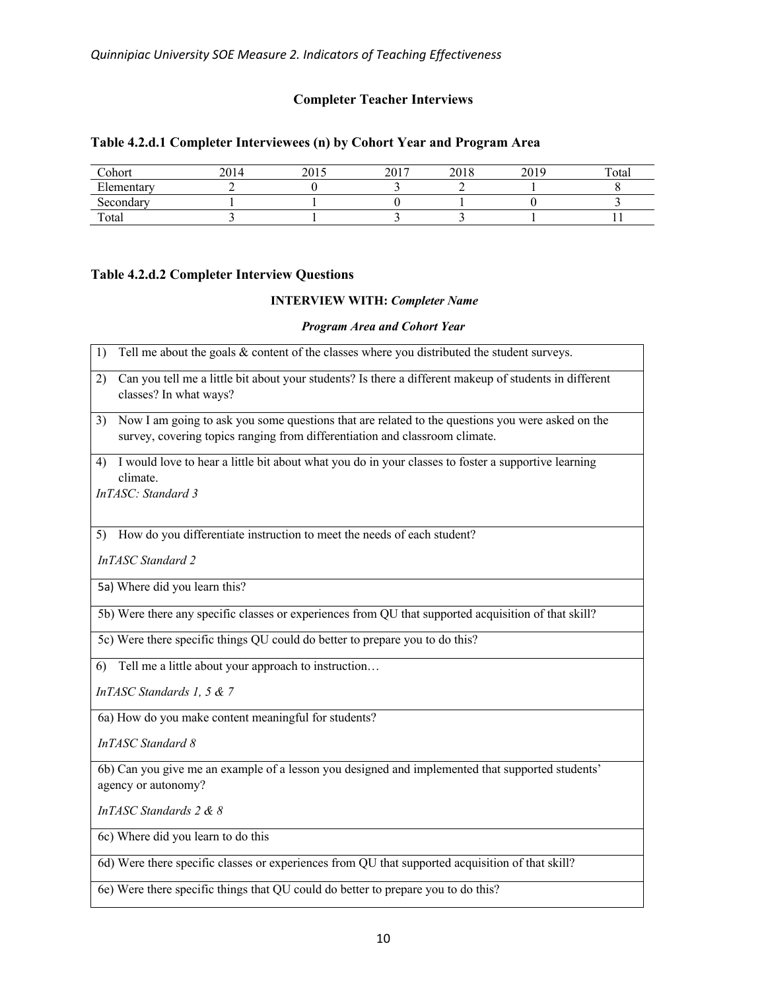# **Completer Teacher Interviews**

# <span id="page-9-0"></span>**Table 4.2.d.1 Completer Interviewees (n) by Cohort Year and Program Area**

| Cohort           | 201. | 2015<br>∠∪ | 2017<br>201 | 2010<br>۷J | 2019<br>∠∪ | Total |
|------------------|------|------------|-------------|------------|------------|-------|
| г1<br>Elementarv |      |            |             |            |            |       |
| Secondary        |      |            |             |            |            |       |
| Total            |      |            |             |            |            |       |

# **Table 4.2.d.2 Completer Interview Questions**

### **INTERVIEW WITH:** *Completer Name*

#### *Program Area and Cohort Year*

| Tell me about the goals $&$ content of the classes where you distributed the student surveys.<br>1)                                                                                   |
|---------------------------------------------------------------------------------------------------------------------------------------------------------------------------------------|
| Can you tell me a little bit about your students? Is there a different makeup of students in different<br>2)<br>classes? In what ways?                                                |
| Now I am going to ask you some questions that are related to the questions you were asked on the<br>3)<br>survey, covering topics ranging from differentiation and classroom climate. |
| I would love to hear a little bit about what you do in your classes to foster a supportive learning<br>4)<br>climate.<br>InTASC: Standard 3                                           |
| How do you differentiate instruction to meet the needs of each student?<br>5)                                                                                                         |
| <b>InTASC</b> Standard 2                                                                                                                                                              |
| 5a) Where did you learn this?                                                                                                                                                         |
| 5b) Were there any specific classes or experiences from QU that supported acquisition of that skill?                                                                                  |
| 5c) Were there specific things QU could do better to prepare you to do this?                                                                                                          |
| Tell me a little about your approach to instruction<br>6)                                                                                                                             |
| InTASC Standards 1, 5 & 7                                                                                                                                                             |
| 6a) How do you make content meaningful for students?                                                                                                                                  |
| <b>InTASC</b> Standard 8                                                                                                                                                              |
| 6b) Can you give me an example of a lesson you designed and implemented that supported students'<br>agency or autonomy?                                                               |
| InTASC Standards 2 & 8                                                                                                                                                                |
| 6c) Where did you learn to do this                                                                                                                                                    |
| 6d) Were there specific classes or experiences from QU that supported acquisition of that skill?                                                                                      |
| 6e) Were there specific things that QU could do better to prepare you to do this?                                                                                                     |